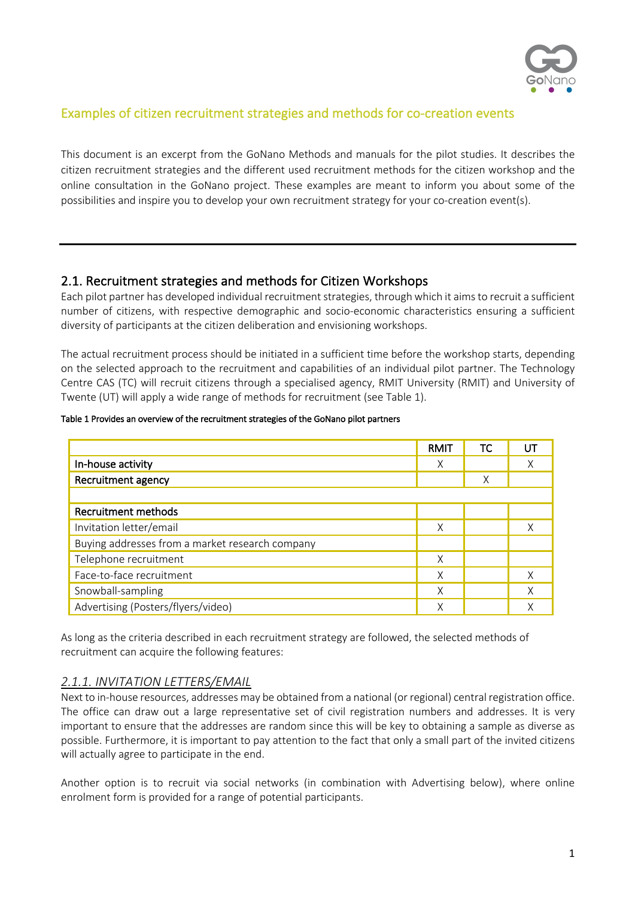

## Examples of citizen recruitment strategies and methods for co-creation events

This document is an excerpt from the GoNano Methods and manuals for the pilot studies. It describes the citizen recruitment strategies and the different used recruitment methods for the citizen workshop and the online consultation in the GoNano project. These examples are meant to inform you about some of the possibilities and inspire you to develop your own recruitment strategy for your co-creation event(s).

### 2.1. Recruitment strategies and methods for Citizen Workshops

Each pilot partner has developed individual recruitment strategies, through which it aims to recruit a sufficient number of citizens, with respective demographic and socio-economic characteristics ensuring a sufficient diversity of participants at the citizen deliberation and envisioning workshops.

The actual recruitment process should be initiated in a sufficient time before the workshop starts, depending on the selected approach to the recruitment and capabilities of an individual pilot partner. The Technology Centre CAS (TC) will recruit citizens through a specialised agency, RMIT University (RMIT) and University of Twente (UT) will apply a wide range of methods for recruitment (see Table 1).

#### Table 1 Provides an overview of the recruitment strategies of the GoNano pilot partners

|                                                 | RMIT | ТC | UT |
|-------------------------------------------------|------|----|----|
| In-house activity                               | X    |    | Χ  |
| Recruitment agency                              |      | Χ  |    |
|                                                 |      |    |    |
| Recruitment methods                             |      |    |    |
| Invitation letter/email                         | X    |    | Χ  |
| Buying addresses from a market research company |      |    |    |
| Telephone recruitment                           | X    |    |    |
| Face-to-face recruitment                        | Χ    |    | Χ  |
| Snowball-sampling                               | Χ    |    | Χ  |
| Advertising (Posters/flyers/video)              | X    |    | Χ  |

As long as the criteria described in each recruitment strategy are followed, the selected methods of recruitment can acquire the following features:

#### *2.1.1. INVITATION LETTERS/EMAIL*

Next to in-house resources, addresses may be obtained from a national (or regional) central registration office. The office can draw out a large representative set of civil registration numbers and addresses. It is very important to ensure that the addresses are random since this will be key to obtaining a sample as diverse as possible. Furthermore, it is important to pay attention to the fact that only a small part of the invited citizens will actually agree to participate in the end.

Another option is to recruit via social networks (in combination with Advertising below), where online enrolment form is provided for a range of potential participants.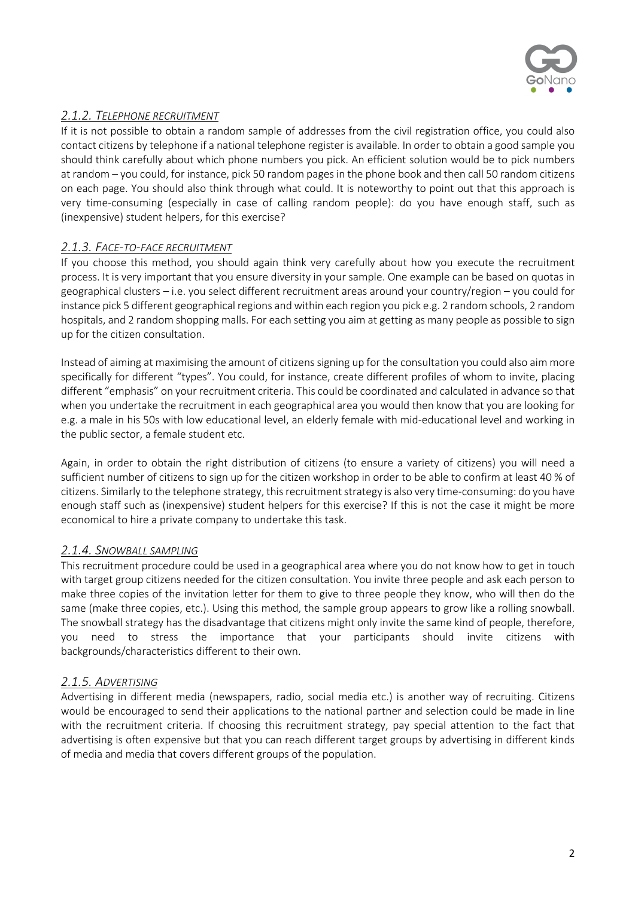

# *2.1.2. TELEPHONE RECRUITMENT*

If it is not possible to obtain a random sample of addresses from the civil registration office, you could also contact citizens by telephone if a national telephone register is available. In order to obtain a good sample you should think carefully about which phone numbers you pick. An efficient solution would be to pick numbers at random – you could, for instance, pick 50 random pages in the phone book and then call 50 random citizens on each page. You should also think through what could. It is noteworthy to point out that this approach is very time-consuming (especially in case of calling random people): do you have enough staff, such as (inexpensive) student helpers, for this exercise?

## *2.1.3. FACE-TO-FACE RECRUITMENT*

If you choose this method, you should again think very carefully about how you execute the recruitment process. It is very important that you ensure diversity in your sample. One example can be based on quotas in geographical clusters – i.e. you select different recruitment areas around your country/region – you could for instance pick 5 different geographical regions and within each region you pick e.g. 2 random schools, 2 random hospitals, and 2 random shopping malls. For each setting you aim at getting as many people as possible to sign up for the citizen consultation.

Instead of aiming at maximising the amount of citizens signing up for the consultation you could also aim more specifically for different "types". You could, for instance, create different profiles of whom to invite, placing different "emphasis" on your recruitment criteria. This could be coordinated and calculated in advance so that when you undertake the recruitment in each geographical area you would then know that you are looking for e.g. a male in his 50s with low educational level, an elderly female with mid-educational level and working in the public sector, a female student etc.

Again, in order to obtain the right distribution of citizens (to ensure a variety of citizens) you will need a sufficient number of citizens to sign up for the citizen workshop in order to be able to confirm at least 40 % of citizens. Similarly to the telephone strategy, this recruitment strategy is also very time-consuming: do you have enough staff such as (inexpensive) student helpers for this exercise? If this is not the case it might be more economical to hire a private company to undertake this task.

### *2.1.4. SNOWBALL SAMPLING*

This recruitment procedure could be used in a geographical area where you do not know how to get in touch with target group citizens needed for the citizen consultation. You invite three people and ask each person to make three copies of the invitation letter for them to give to three people they know, who will then do the same (make three copies, etc.). Using this method, the sample group appears to grow like a rolling snowball. The snowball strategy has the disadvantage that citizens might only invite the same kind of people, therefore, you need to stress the importance that your participants should invite citizens with backgrounds/characteristics different to their own.

### *2.1.5. ADVERTISING*

Advertising in different media (newspapers, radio, social media etc.) is another way of recruiting. Citizens would be encouraged to send their applications to the national partner and selection could be made in line with the recruitment criteria. If choosing this recruitment strategy, pay special attention to the fact that advertising is often expensive but that you can reach different target groups by advertising in different kinds of media and media that covers different groups of the population.